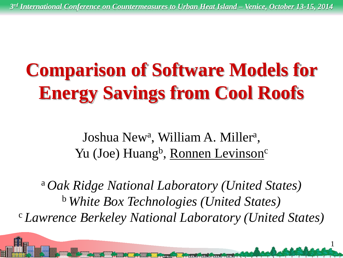# **Comparison of Software Models for Energy Savings from Cool Roofs**

Joshua New<sup>a</sup>, William A. Miller<sup>a</sup>, Yu (Joe) Huang<sup>b</sup>, Ronnen Levinson<sup>c</sup>

<sup>a</sup>*Oak Ridge National Laboratory (United States)* <sup>b</sup>*White Box Technologies (United States)* <sup>c</sup>*Lawrence Berkeley National Laboratory (United States)*

<u>ger i Amerikal metas</u>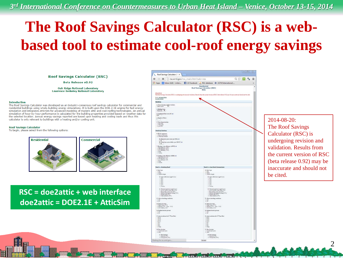### **The Roof Savings Calculator (RSC) is a webbased tool to estimate cool-roof energy savings**

**Roof Savings Calculator (RSC)** 

**Beta Release v0.92** 

**Oak Ridge National Laboratory Lawrence Berkeley National Laboratory** 

### **Introduction**

The Roof Savings Calculator was developed as an industry-consensus roof savings calculator for commercial and residential buildings using whole-building energy simulations. It is built upon the DOE-2.1E engine for fast energy simulation and integrates AtticSim for advanced modeling of modern attic and cool roofing technologies. An annual simulation of hour-by-hour performance is calculated for the building properties provided based on weather data for the selected location. Annual energy savings reported are based upon heating and cooling loads and thus this calculator is only relevant to buildings with a heating and/or cooling unit.

### **Roof Savings Calculator**

To begin, please select from the following options:



### **RSC = doe2attic + web interface doe2attic = DOE2.1E + AtticSim**

| $\leftarrow$ $\rightarrow$<br>×                                                                                                                                                                                                                                                                                                                                                                                       | rscoml.gov/rsc_main.htm?calc=res |                                                                                                                                                                                                                        |                                                                                                                                                                                                                                                     | Q☆ 同 % 日 |  |
|-----------------------------------------------------------------------------------------------------------------------------------------------------------------------------------------------------------------------------------------------------------------------------------------------------------------------------------------------------------------------------------------------------------------------|----------------------------------|------------------------------------------------------------------------------------------------------------------------------------------------------------------------------------------------------------------------|-----------------------------------------------------------------------------------------------------------------------------------------------------------------------------------------------------------------------------------------------------|----------|--|
| Apps N Inbox (126) - milevi (3) Facebook (A) RSC database @ ASTM International                                                                                                                                                                                                                                                                                                                                        |                                  |                                                                                                                                                                                                                        |                                                                                                                                                                                                                                                     |          |  |
|                                                                                                                                                                                                                                                                                                                                                                                                                       |                                  | Residential<br>Roof Savings Calculator (RSC)<br>Beta                                                                                                                                                                   |                                                                                                                                                                                                                                                     |          |  |
| 1014-06-20                                                                                                                                                                                                                                                                                                                                                                                                            |                                  |                                                                                                                                                                                                                        |                                                                                                                                                                                                                                                     |          |  |
| The Roof firmings Chiculmor (RSC) is underpring revision and validation. Results from the current version of RSC (Sets release 0.92) may be inscitates and should not be cated.<br>Go to: Administration                                                                                                                                                                                                              |                                  |                                                                                                                                                                                                                        |                                                                                                                                                                                                                                                     |          |  |
| Seriestant metaps<br>Building                                                                                                                                                                                                                                                                                                                                                                                         |                                  | $\blacktriangledown$                                                                                                                                                                                                   |                                                                                                                                                                                                                                                     |          |  |
| 1. Cheese location (unalise worthw).                                                                                                                                                                                                                                                                                                                                                                                  |                                  |                                                                                                                                                                                                                        |                                                                                                                                                                                                                                                     |          |  |
| Dead water                                                                                                                                                                                                                                                                                                                                                                                                            |                                  |                                                                                                                                                                                                                        |                                                                                                                                                                                                                                                     |          |  |
| 2. Building Type:<br>Presente                                                                                                                                                                                                                                                                                                                                                                                         |                                  |                                                                                                                                                                                                                        |                                                                                                                                                                                                                                                     |          |  |
| 3. Coadinized Sear term (8 <sup>2</sup> ): 0<br>252                                                                                                                                                                                                                                                                                                                                                                   |                                  |                                                                                                                                                                                                                        |                                                                                                                                                                                                                                                     |          |  |
| 4. Number of floor                                                                                                                                                                                                                                                                                                                                                                                                    |                                  |                                                                                                                                                                                                                        |                                                                                                                                                                                                                                                     |          |  |
| $\begin{array}{l} 1.$ Year of concernation: $\begin{array}{l} 0.33282202 \\ 0.334224202 \\ 0.334524202 \end{array} \end{array}$                                                                                                                                                                                                                                                                                       |                                  |                                                                                                                                                                                                                        |                                                                                                                                                                                                                                                     |          |  |
| a pa-1011                                                                                                                                                                                                                                                                                                                                                                                                             |                                  |                                                                                                                                                                                                                        |                                                                                                                                                                                                                                                     |          |  |
| Heating/Cooling                                                                                                                                                                                                                                                                                                                                                                                                       |                                  |                                                                                                                                                                                                                        |                                                                                                                                                                                                                                                     |          |  |
| 6. ITCAC equipment<br>is Electric best years)<br># Noticel get finance                                                                                                                                                                                                                                                                                                                                                |                                  |                                                                                                                                                                                                                        |                                                                                                                                                                                                                                                     |          |  |
| PL Electricity price (onan per kWh) @                                                                                                                                                                                                                                                                                                                                                                                 |                                  |                                                                                                                                                                                                                        |                                                                                                                                                                                                                                                     |          |  |
| 188.1<br>P7. Nameni po price (dollar: por 1000 fr <sup>3</sup> ): $\dot{\bf{u}}$ : 000                                                                                                                                                                                                                                                                                                                                |                                  |                                                                                                                                                                                                                        |                                                                                                                                                                                                                                                     |          |  |
| 7. Hanting 1910en eHoleney (APUE). $\oplus$<br>$\oplus$ High-eHoleney (FC-t)<br>$\oplus$ Mid-eHoleney (EC-t)<br>$\cong$ Leve eHonory (72-t)<br>                                                                                                                                                                                                                                                                       |                                  |                                                                                                                                                                                                                        |                                                                                                                                                                                                                                                     |          |  |
|                                                                                                                                                                                                                                                                                                                                                                                                                       |                                  |                                                                                                                                                                                                                        |                                                                                                                                                                                                                                                     |          |  |
| I. Cooling tyres<br>in filterary (MEE): $\Phi$ = High-efficiency<br>$\langle 12\rangle$ = Michelbosovy $\langle 12\rangle$ = Levelbiancy<br>$\langle 32\rangle$ = $\langle 24\rangle$<br>or Courtess                                                                                                                                                                                                                  |                                  |                                                                                                                                                                                                                        |                                                                                                                                                                                                                                                     |          |  |
| Roof 1 - Existing Roof                                                                                                                                                                                                                                                                                                                                                                                                |                                  |                                                                                                                                                                                                                        | Roof 2 - Cool Roof Comparison                                                                                                                                                                                                                       |          |  |
|                                                                                                                                                                                                                                                                                                                                                                                                                       |                                  | 11 Red rps                                                                                                                                                                                                             |                                                                                                                                                                                                                                                     |          |  |
|                                                                                                                                                                                                                                                                                                                                                                                                                       |                                  | $\begin{smallmatrix} 0 & T_0^* \\ 0 & \text{Mech} \end{smallmatrix}$<br>$\equiv$ Arglarit shingle                                                                                                                      |                                                                                                                                                                                                                                                     |          |  |
| 8. Renf 1794<br>$\alpha$ Tós $\alpha$ Mersi<br>$\alpha$ Asplato desapa                                                                                                                                                                                                                                                                                                                                                |                                  |                                                                                                                                                                                                                        |                                                                                                                                                                                                                                                     |          |  |
| 11. Indus reflexuare (aps<br>d $3$ yri) $\begin{array}{l} 0.895 \\ 0.895 \\ \eta = 10\tau_0 \\ \eta = 2\sigma_0 \end{array}$                                                                                                                                                                                                                                                                                          |                                  |                                                                                                                                                                                                                        | 18. babe reflectence (aps<br>d $3$ yri): $\odot$ 62% $\odot$<br>$\odot$ 7% $\odot$ 42% $\odot$ 42%                                                                                                                                                  |          |  |
| $^{+39}_{-37}$<br>in Castras                                                                                                                                                                                                                                                                                                                                                                                          |                                  | $\frac{1}{2}$ $\frac{20}{20}$<br>O. Castron                                                                                                                                                                            |                                                                                                                                                                                                                                                     |          |  |
| 11. Thermal su                                                                                                                                                                                                                                                                                                                                                                                                        |                                  | 28. Thermal en                                                                                                                                                                                                         |                                                                                                                                                                                                                                                     |          |  |
| 11. Thermal emissions (egal 3 yer)<br>$\approx$ Acrylic Al-Ta metel cool (1794)<br>$\approx$ Bree Al-Ta metel cool (2794)<br>$\approx$ Metellic field typical cooling (7094)<br>$\approx$ Metellic field explicit cooling (7094)<br>$\approx$ Disc meters<br>i                                                                                                                                                        |                                  | 21. Above-therebing reaching                                                                                                                                                                                           | 20. The<br>result maintains (agad 2 yer) $\approx$ Acrylic Al-Za costad and (2<br>Pe) $\approx$ Bern Al-Za costad and (2<br>Pe) $\approx$ Mernin fade equiled costag (7<br>Pe) $\approx$ Mernin cand (2<br>Pe) $\approx$ Pears are<br>notably (2*s) |          |  |
|                                                                                                                                                                                                                                                                                                                                                                                                                       |                                  | $\begin{smallmatrix} 0&\text{Tm}\\ 0&\text{Nq} \end{smallmatrix}$                                                                                                                                                      |                                                                                                                                                                                                                                                     |          |  |
|                                                                                                                                                                                                                                                                                                                                                                                                                       |                                  |                                                                                                                                                                                                                        |                                                                                                                                                                                                                                                     |          |  |
|                                                                                                                                                                                                                                                                                                                                                                                                                       |                                  | $\begin{array}{l} \mbox{12. Find (corresponds)}\\ =\mbox{NqA (clups 117)}\\ +\mbox{ 31.03ms (2.11 - dups - 1.12)}\\ \mbox{0. Let } \mbox{clups 2.11} \end{array}$<br>11. Radioar barrier precess:<br>$\frac{0}{4}$ Yan |                                                                                                                                                                                                                                                     |          |  |
| 17. Above-feesching ventilation:<br>$\frac{1}{2}\frac{2\pi}{3}$<br>$\begin{array}{l} \mbox{13. Find the number} \\ = 75 \, \mathrm{ph} \, (\mathrm{days} \pm 5.12) \\ + \ \mathrm{Nederies} \, (\mathrm{2.12} \, - \mathrm{days} \, - 8.12) \\ \odot \ \mathrm{Lurs} \, (\mathrm{days} \pm 2.12) \end{array}$<br>14. Kedinar kurrier presear:<br>$\frac{1}{2}$ $\frac{1}{2}$<br>17. Avic in advises the 0-17 per Bod. |                                  |                                                                                                                                                                                                                        |                                                                                                                                                                                                                                                     |          |  |
|                                                                                                                                                                                                                                                                                                                                                                                                                       |                                  |                                                                                                                                                                                                                        | 54. Arris in educion (kr $\hbar^2$ "F per Bra) ( $\frac{2-75}{5-25}$                                                                                                                                                                                |          |  |
|                                                                                                                                                                                                                                                                                                                                                                                                                       |                                  |                                                                                                                                                                                                                        |                                                                                                                                                                                                                                                     |          |  |
|                                                                                                                                                                                                                                                                                                                                                                                                                       |                                  |                                                                                                                                                                                                                        |                                                                                                                                                                                                                                                     |          |  |
| $\begin{array}{l} 0.374 \\ 0.374 \\ 0.344 \\ \end{array}$<br>16. Dace Incuries<br>21 Conditioned space<br>31 Artis                                                                                                                                                                                                                                                                                                    |                                  | 25. Dec lease<br>ii Canditional space<br># Artis                                                                                                                                                                       |                                                                                                                                                                                                                                                     |          |  |
| $\begin{array}{l} \mbox{17. Dun leading:}\\ \mbox{= Inposed (1P4)}\\ \mbox{= Inappend (1P5)} \end{array}$                                                                                                                                                                                                                                                                                                             |                                  | $\begin{array}{l} 24. \textbf{D} with a large: \\ \textcolor{blue}{\footnotesize \begin{array}{l} \text{logust}(P_1) \\ \textcolor{blue}{\footnotesize \begin{array}{l} \text{logust}(P_2) \end{array}} } \end{array}$ |                                                                                                                                                                                                                                                     |          |  |

والقسما

 $2014 - 08 - 20$ The Roof Savings Calculator (RSC) is undergoing revision and validation. Results from the current version of RSC (beta release 0.92) may be inaccurate and should not be cited.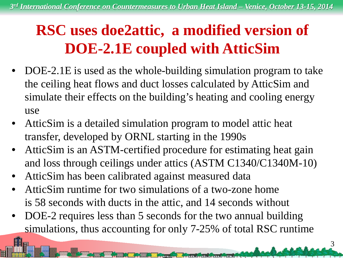### **RSC uses doe2attic, a modified version of DOE-2.1E coupled with AtticSim**

- DOE-2.1E is used as the whole-building simulation program to take the ceiling heat flows and duct losses calculated by AtticSim and simulate their effects on the building's heating and cooling energy use
- AtticSim is a detailed simulation program to model attic heat transfer, developed by ORNL starting in the 1990s
- AtticSim is an ASTM-certified procedure for estimating heat gain and loss through ceilings under attics (ASTM C1340/C1340M-10)
- AtticSim has been calibrated against measured data
- AtticSim runtime for two simulations of a two-zone home is 58 seconds with ducts in the attic, and 14 seconds without
- DOE-2 requires less than 5 seconds for the two annual building simulations, thus accounting for only 7-25% of total RSC runtime

<u> Institution (militäring)</u>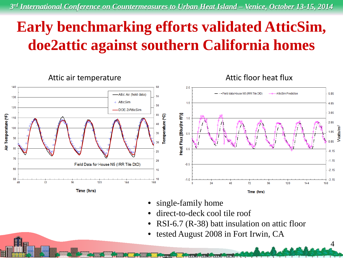### **Early benchmarking efforts validated AtticSim, doe2attic against southern California homes**



- single-family home
- direct-to-deck cool tile roof
- RSI-6.7 (R-38) batt insulation on attic floor

بماءة ورو

4

• tested August 2008 in Fort Irwin, CA

أحادث والمتحدث والمتحدث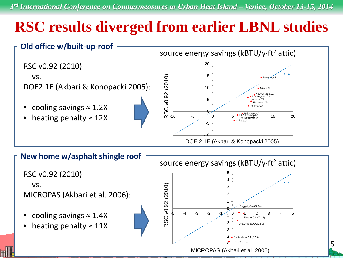## **RSC results diverged from earlier LBNL studies**



RSC v0.92 (2010) vs.

MICROPAS (Akbari et al. 2006):

- cooling savings  $\approx 1.4X$
- heating penalty  $\approx$  11X

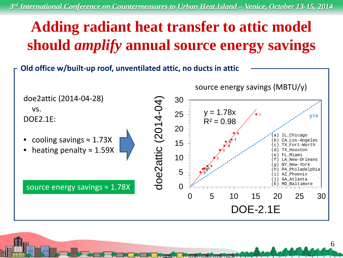## **Adding radiant heat transfer to attic model should** *amplify* **annual source energy savings**

**Old office w/built-up roof, unventilated attic, no ducts in attic**

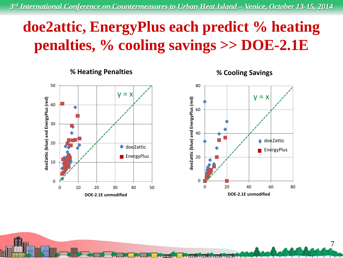### **doe2attic, EnergyPlus each predict % heating penalties, % cooling savings >> DOE-2.1E**

50 doe2attic (blue) and EnergyPlus (red) **doe2attic (blue) and EnergyPlus (red)** 40 30 20 ◆ doe2attic **EnergyPlus** 10 0 0 10 20 30 40 50 **DOE-2.1E unmodified**

**% Heating Penalties**



لماش وأحدثته ومحدث ويستخفى

**% Cooling Savings**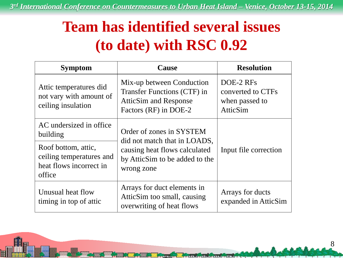### **Team has identified several issues (to date) with RSC 0.92**

| <b>Symptom</b>                                                                       | <b>Cause</b>                                                                                                      | <b>Resolution</b>                                            |  |
|--------------------------------------------------------------------------------------|-------------------------------------------------------------------------------------------------------------------|--------------------------------------------------------------|--|
| Attic temperatures did<br>not vary with amount of<br>ceiling insulation              | Mix-up between Conduction<br>Transfer Functions (CTF) in<br><b>AtticSim and Response</b><br>Factors (RF) in DOE-2 | DOE-2 RFs<br>converted to CTFs<br>when passed to<br>AtticSim |  |
| AC undersized in office<br>building                                                  | Order of zones in SYSTEM<br>did not match that in LOADS,                                                          | Input file correction                                        |  |
| Roof bottom, attic,<br>ceiling temperatures and<br>heat flows incorrect in<br>office | causing heat flows calculated<br>by AtticSim to be added to the<br>wrong zone                                     |                                                              |  |
| Unusual heat flow<br>timing in top of attic                                          | Arrays for duct elements in<br>AtticSim too small, causing<br>overwriting of heat flows                           | Arrays for ducts<br>expanded in AtticSim                     |  |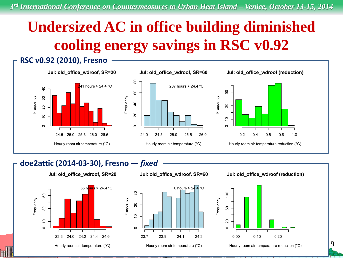## **Undersized AC in office building diminished cooling energy savings in RSC v0.92**

### **RSC v0.92 (2010), Fresno** Jul: old\_office\_wdroof, SR=20 Jul: old\_office\_wdroof, SR=60 Jul: old\_office\_wdroof (reduction) 80 41 hours > 24.4 °C 207 hours > 24.4 °C  $\overline{a}$ 50 80 Frequency 30 Frequency Frequency  $\overline{40}$ 30 20 20  $\overline{C}$ ő  $\circ$  $\circ$  $\circ$ 26.0 26.5 24.0 24.5 25.0 25.5 26.0  $0.2$  $0.4$  $0.6$  $0.8$ 24.5 25.0 25.5 Hourly room air temperature (°C) Hourly room air temperature (°C) Hourly room air temperature reduction (°C)

### **doe2attic (2014-03-30), Fresno —** *fixed*

Jul: old\_office\_wdroof, SR=20





Hourly room air temperature (°C)



 $1.0$ 

Hourly room air temperature reduction (°C)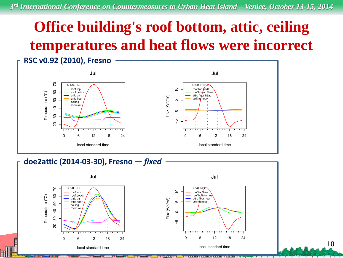## **Office building's roof bottom, attic, ceiling temperatures and heat flows were incorrect**



**doe2attic (2014-03-30), Fresno —** *fixed*

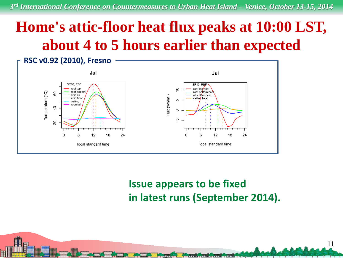### **Home's attic-floor heat flux peaks at 10:00 LST, about 4 to 5 hours earlier than expected**



### **Issue appears to be fixed in latest runs (September 2014).**

والأوي فمقدى متدقيهن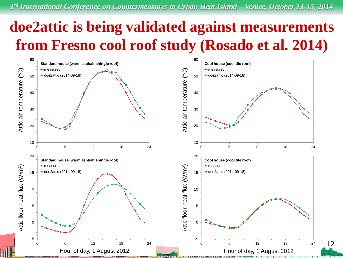### **doe2attic is being validated against measurements from Fresno cool roof study (Rosado et al. 2014)**

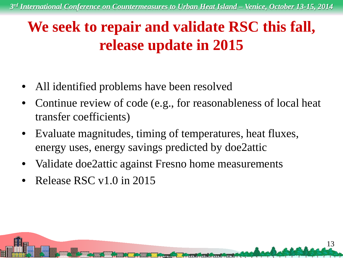### **We seek to repair and validate RSC this fall, release update in 2015**

- All identified problems have been resolved
- Continue review of code (e.g., for reasonableness of local heat transfer coefficients)

<u>ing an air am faoineach a bha a</u>

- Evaluate magnitudes, timing of temperatures, heat fluxes, energy uses, energy savings predicted by doe2attic
- Validate doe2attic against Fresno home measurements
- Release RSC v1.0 in 2015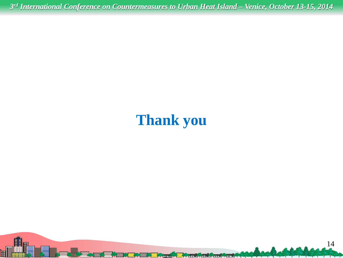### **Thank you**

and and

**Processing and Processing**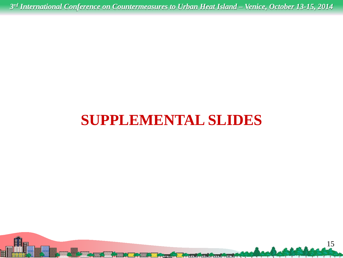### **SUPPLEMENTAL SLIDES**

يهوم أسمأ أنأي واستعفائي واستقطووها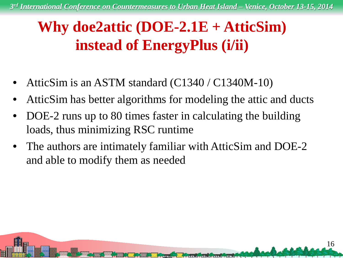### **Why doe2attic (DOE-2.1E + AtticSim) instead of EnergyPlus (i/ii)**

- AtticSim is an ASTM standard (C1340 / C1340M-10)
- AtticSim has better algorithms for modeling the attic and ducts
- DOE-2 runs up to 80 times faster in calculating the building loads, thus minimizing RSC runtime
- The authors are intimately familiar with AtticSim and DOE-2 and able to modify them as needed

**Berta Provincia a contra**